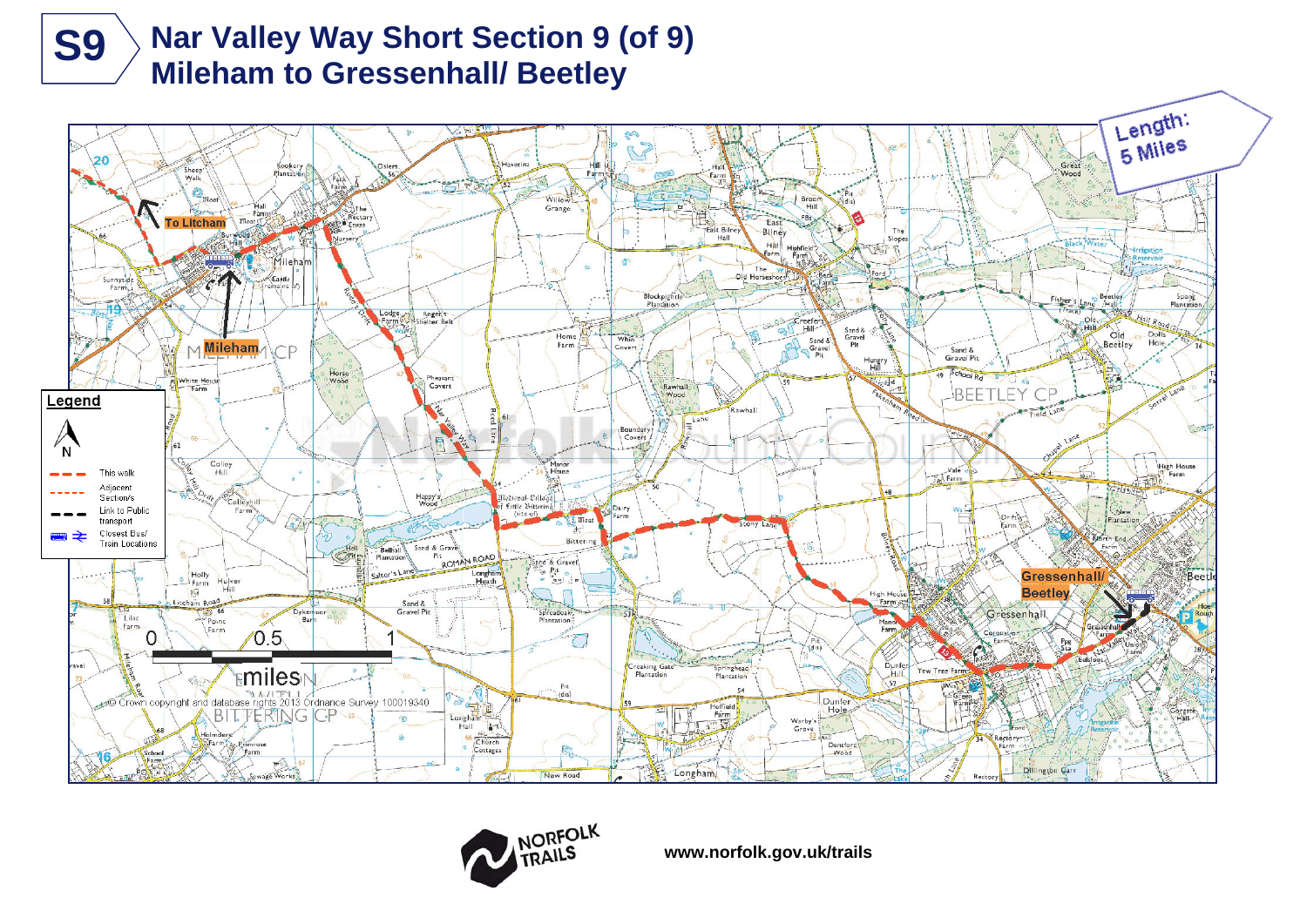

# **Nar Valley Way Short Section 9 (of 9) S9** > Nar Valley Way Short Section 9 (Mileham to Gressenhall/ Beetley





**www.norfolk.gov.uk/trails**